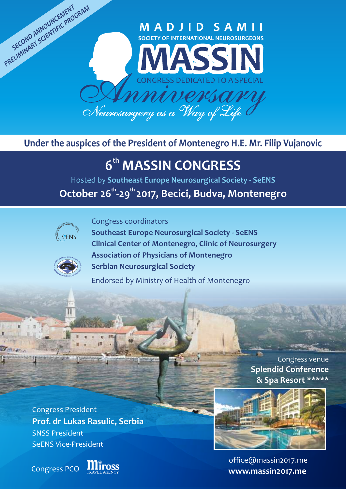## **MADJID SAMII SOCIETY OF INTERNATIONAL NEUROSURGEONS**



UNIONIO *Neurosurgery as a Way of Life*

# **Under the auspices of the President of Montenegro H.E. Mr. Filip Vujanovic**

# **th 6 MASSIN CONGRESS**

Hosted by **Southeast Europe Neurosurgical Society - SeENS** 

**th th October 26 -29 2017, Becici, Budva, Montenegro** 



PRELIMINARY SCIENTIFIC PROGRAM

Congress coordinators



**Southeast Europe Neurosurgical Society - SeENS Clinical Center of Montenegro, Clinic of Neurosurgery Association of Physicians of Montenegro Serbian Neurosurgical Society**

Endorsed by Ministry of Health of Montenegro

Congress venue **Splendid Conference & Spa Resort \*\*\*\*\***

Congress President **Prof. dr Lukas Rasulic , Serbia** SNSS President SeENS Vice-President

Congress PCO





office@massin2017.me **www.massin2017.me**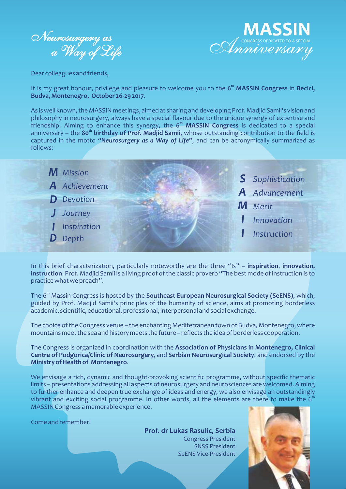



Dear colleagues and friends,

**th** It is my great honour, privilege and pleasure to welcome you to the **6 MASSIN Congress** in **Becici, Budva, Montenegro, October 26-29 2017**.

As is well known, the MASSIN meetings, aimed at sharing and developing Prof. Madjid Samii's vision and philosophy in neurosurgery, always have a special flavour due to the unique synergy of expertise and friendship. Aiming to enhance this synergy, the 6<sup>th</sup> MASSIN Congress is dedicated to a special **th** anniversary – the **80 birthday of Prof. Madjid Samii,** whose outstanding contribution to the field is captured in the motto *"Neurosurgery as a Way of Life"*, and can be acronymically summarized as follows:



In this brief characterization, particularly noteworthy are the three "Is" – **inspiration**, **innovation, instruction**. Prof. Madjid Samii is a living proof of the classic proverb "The best mode of instruction is to practice what we preach".

The 6<sup>th</sup> Massin Congress is hosted by the **Southeast European Neurosurgical Society (SeENS)**, which, guided by Prof. Madjid Samii's principles of the humanity of science, aims at promoting borderless academic, scientific, educational, professional, interpersonal and social exchange.

The choice of the Congress venue – the enchanting Mediterranean town of Budva, Montenegro, where mountains meet the sea and history meets the future – reflects the idea of borderless cooperation.

The Congress is organized in coordination with the **Association of Physicians in Montenegro, Clinical Centre of Podgorica/Clinic of Neurosurgery,** and **Serbian Neurosurgical Society**, and endorsed by the **Ministry of Health of Montenegro**.

We envisage a rich, dynamic and thought-provoking scientific programme, without specific thematic limits – presentations addressing all aspects of neurosurgery and neurosciences are welcomed. Aiming to further enhance and deepen true exchange of ideas and energy, we also envisage an outstandingly vibrant and exciting social programme. In other words, all the elements are there to make the  $6<sup>th</sup>$ MASSIN Congress a memorable experience.

Come and remember!

**Prof. dr Lukas Rasulic , Serbia** Congress President SNSS President SeENS Vice-President

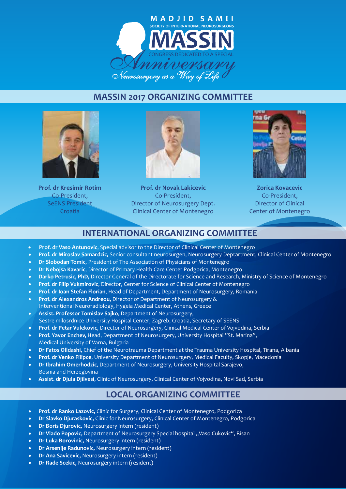

### **MASSIN 2017 ORGANIZING COMMITTEE**



**Prof. dr Kresimir Rotim** Co-President, SeENS President Croatia



**Prof. dr Novak Lakicevic** Co-President, Director of Neurosurgery Dept. Clinical Center of Montenegro



**Zorica Kovacevic** Co-President, Director of Clinical Center of Montenegro

## **INTERNATIONAL ORGANIZING COMMITTEE**

- · **Prof. dr Vaso Antunovic**, Special advisor to the Director of Clinical Center of Montenegro
- · **Prof. dr Miroslav Samardzic,** Senior consultant neurosurgen, Neurosurgery Deptartment, Clinical Center of Montenegro
- · **Dr Slobodan Tomic**, President of The Association of Physicians of Montenegro
- · **Dr Nebojsa Kavaric**, Director of Primary Health Care Center Podgorica, Montenegro
- · **Darko Petrusic, PhD,** Director General of the Directorate for Science and Research, Ministry of Science of Montenegro
- · **Prof. dr Filip Vukmirovic**, Director, Center for Science of Clinical Center of Montenegro
- · **Prof. dr Ioan Stefan Florian**, Head of Department, Department of Neurosurgery, Romania
- · **Prof. dr Alexandros Andreou**, Director of Department of Neurosurgery & Interventional Neuroradiology, Hygeia Medical Center, Athens, Greece
- · **Assist. Professor Tomislav Sajko**, Department of Neurosurgery, Sestre milosrdnice University Hospital Center, Zagreb, Croatia, Secretary of SEENS
- · **Prof. dr Petar Vulekovic**, Director of Neurosurgery, Clinical Medical Center of Vojvodina, Serbia
- · **Prof. Yavor Enchev,** Head, Department of Neurosurgery, University Hospital "St. Marina", Medical University of Varna, Bulgaria
- · **Dr Fatos Olldashi**, Chief of the Neurotrauma Department at the Trauma University Hospital, Tirana, Albania
- · **Prof. dr Venko Filipce**, University Department of Neurosurgery, Medical Faculty, Skopje, Macedonia
- · **Dr Ibrahim Omerhodzic**, Department of Neurosurgery, University Hospital Sarajevo, Bosnia and Herzegovina
- · **Assist. dr Djula Djilvesi**, Clinic of Neurosurgery, Clinical Center of Vojvodina, Novi Sad, Serbia

### **LOCAL ORGANIZING COMMITTEE**

- · **Prof. dr Ranko Lazovic,** Clinic for Surgery, Clinical Center of Montenegro, Podgorica
- · **Dr Slavko Djuraskovic,** Clinic for Neurosurgery, Clinical Center of Montenegro, Podgorica
- **Dr Boris Djurovic, Neurosurgery intern (resident)**
- Dr Vlado Popovic, Department of Neurosurgery Special hospital "Vaso Cukovic", Risan
- · **Dr Luka Borovinic,** Neurosurgery intern (resident)
- · **Dr Arsenije Radunovic,** Neurosurgery intern (resident)
- **Dr Ana Savicevic, Neurosurgery intern (resident)**
- · **Dr Rade Scekic,** Neurosurgery intern (resident)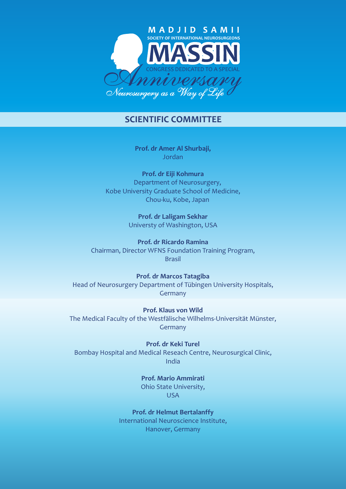

### **SCIENTIFIC COMMITTEE**

**Prof. dr Amer Al Shurbaji,**  Jordan

**Prof. dr Eiji Kohmura** Department of Neurosurgery, Kobe University Graduate School of Medicine, Chou-ku, Kobe, Japan

> **Prof. dr Laligam Sekhar** Universty of Washington, USA

**Prof. dr Ricardo Ramina** Chairman, Director WFNS Foundation Training Program, Brasil

**Prof. dr Marcos Tatagiba** Head of Neurosurgery Department of Tübingen University Hospitals, Germany

**Prof. Klaus von Wild** The Medical Faculty of the Westfälische Wilhelms-Universität Münster, **Germany** 

**Prof. dr Keki Turel** Bombay Hospital and Medical Reseach Centre, Neurosurgical Clinic, India

> **Prof. Mario Ammirati** Ohio State University, USA

**Prof. dr Helmut Bertalanffy** International Neuroscience Institute, Hanover, Germany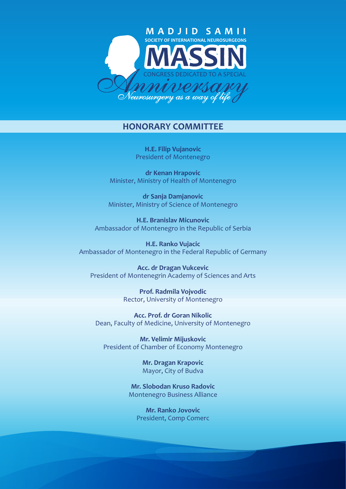

### **HONORARY COMMITTEE**

**H.E. Filip Vujanovic** President of Montenegro

**dr Kenan Hrapovic** Minister, Ministry of Health of Montenegro

**dr Sanja Damjanovic** Minister, Ministry of Science of Montenegro

**H.E. Branislav Micunovic** Ambassador of Montenegro in the Republic of Serbia

**H.E. Ranko Vujacic** Ambassador of Montenegro in the Federal Republic of Germany

**Acc. dr Dragan Vukcevic** President of Montenegrin Academy of Sciences and Arts

> **Prof. Radmila Vojvodic** Rector, University of Montenegro

**Acc. Prof. dr Goran Nikolic** Dean, Faculty of Medicine, University of Montenegro

**Mr. Velimir Mijuskovic** President of Chamber of Economy Montenegro

> **Mr. Dragan Krapovic** Mayor, City of Budva

**Mr. Slobodan Kruso Radovic** Montenegro Business Alliance

**Mr. Ranko Jovovic** President, Comp Comerc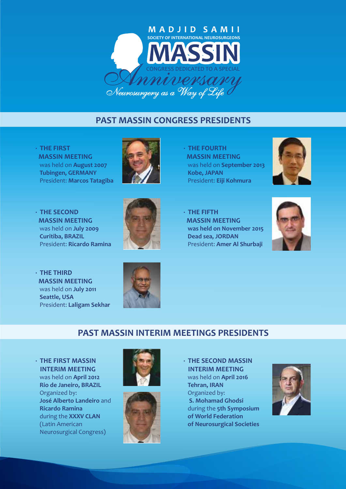

### **PAST MASSIN CONGRESS PRESIDENTS**

**· THE FIRST MASSIN MEETING** was held on **August 2007 Tubingen, GERMANY** President: **Marcos Tatagiba**



**· THE FOURTH MASSIN MEETING** was held on **September 2013 Kobe, JAPAN** President: **Eiji Kohmura**



**· THE SECOND MASSIN MEETING** was held on **July 2009 Curitiba, BRAZIL** President: **Ricardo Ramina**



**· THE FIFTH MASSIN MEETING was held on November 2015 Dead sea, JORDAN** President: **Amer Al Shurbaji**



**· THE THIRD MASSIN MEETING** was held on **July 2011 Seattle, USA** President: **Laligam Sekhar**



## **PAST MASSIN INTERIM MEETINGS PRESIDENTS**

**· THE FIRST MASSIN INTERIM MEETING** was held on **April 2012 Rio de Janeiro, BRAZIL** Organized by: **José Alberto Landeiro** and  **Ricardo Ramina** during the **XXXV CLAN** (Latin American Neurosurgical Congress)





**· THE SECOND MASSIN INTERIM MEETING** was held on **April 2016 Tehran, IRAN** Organized by: **S. Mohamad Ghodsi** during the **5th Symposium of World Federation of Neurosurgical Societies** 

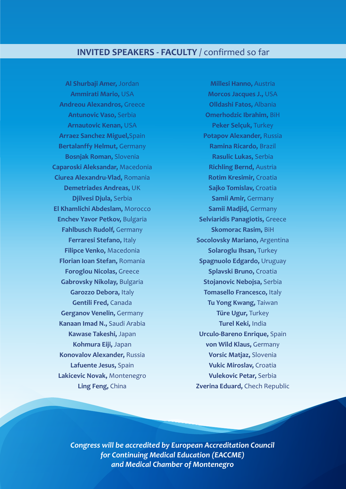### **INVITED SPEAKERS - FACULTY** / confirmed so far

**Al Shurbaji Amer,** Jordan **Ammirati Mario,** USA **Andreou Alexandros,** Greece **Antunovic Vaso,** Serbia **Arnautovic Kenan,** USA **Arraez Sanchez Miguel,**Spain **Bertalanffy Helmut,** Germany **Bosnjak Roman,** Slovenia **Caparoski Aleksandar,** Macedonia **Ciurea Alexandru-Vlad,** Romania **Demetriades Andreas,** UK **Djilvesi Djula,** Serbia **El Khamlichi Abdeslam,** Morocco **Enchev Yavor Petkov,** Bulgaria **Fahlbusch Rudolf,** Germany **Ferraresi Stefano,** Italy **Filipce Venko,** Macedonia **Florian Ioan Stefan,** Romania **Foroglou Nicolas,** Greece **Gabrovsky Nikolay,** Bulgaria **Garozzo Debora,** Italy **Gentili Fred,** Canada **Gerganov Venelin,** Germany **Kanaan Imad N.,** Saudi Arabia **Kawase Takeshi,** Japan **Kohmura Eiji,** Japan **Konovalov Alexander,** Russia **Lafuente Jesus,** Spain **Lakicevic Novak,** Montenegro **Ling Feng,** China

**Millesi Hanno,** Austria **Morcos Jacques J.,** USA **Olldashi Fatos,** Albania **Omerhodzic Ibrahim,** BiH **Peker Selçuk,** Turkey **Potapov Alexander,** Russia **Ramina Ricardo,** Brazil **Rasulic Lukas,** Serbia **Richling Bernd,** Austria **Rotim Kresimir,** Croatia **Sajko Tomislav,** Croatia **Samii Amir,** Germany **Samii Madjid,** Germany **Selviaridis Panagiotis,** Greece **Skomorac Rasim,** BiH **Socolovsky Mariano,** Argentina **Solaroglu Ihsan,** Turkey **Spagnuolo Edgardo,** Uruguay **Splavski Bruno,** Croatia **Stojanovic Nebojsa,** Serbia **Tomasello Francesco,** Italy **Tu Yong Kwang,** Taiwan **Türe Ugur,** Turkey **Turel Keki,** India **Urculo-Bareno Enrique,** Spain **von Wild Klaus,** Germany **Vorsic Matjaz,** Slovenia **Vukic Miroslav,** Croatia **Vulekovic Petar,** Serbia **Zverina Eduard,** Chech Republic

*Congress will be accredited by European Accreditation Council for Continuing Medical Education (EACCME) and Medical Chamber of Montenegro*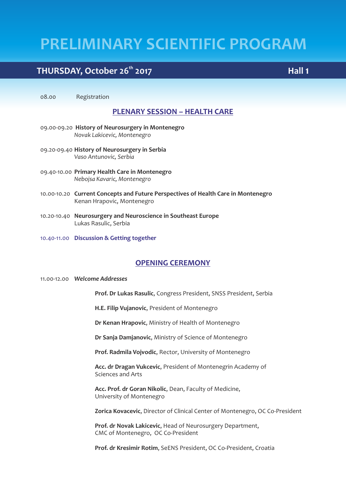# **THURSDAY, October 26<sup>th</sup> 2017**

08.00 Registration

### **PLENARY SESSION – HEALTH CARE**

- 09.00-09.20 **History of Neurosurgery in Montenegro** *Novak Lakicevic, Montenegro*
- 09.20-09.40 **History of Neurosurgery in Serbia** *Vaso Antunovic, Serbia*
- 09.40-10.00 **Primary Health Care in Montenegro** *Nebojsa Kavaric, Montenegro*
- 10.00-10.20 **Current Concepts and Future Perspectives of Health Care in Montenegro** Kenan Hrapovic, Montenegro
- 10.20-10.40 **Neurosurgery and Neuroscience in Southeast Europe** Lukas Rasulic, Serbia
- 10.40-11.00 **Discussion & Getting together**

### **OPENING CEREMONY**

### 11.00-12.00 *Welcome Addresses*

**Prof. Dr Lukas Rasulic**, Congress President, SNSS President, Serbia

**H.E. Filip Vujanovic**, President of Montenegro

**Dr Kenan Hrapovic**, Ministry of Health of Montenegro

**Dr Sanja Damjanovic**, Ministry of Science of Montenegro

**Prof. Radmila Vojvodic**, Rector, University of Montenegro

**Acc. dr Dragan Vukcevic**, President of Montenegrin Academy of Sciences and Arts

**Acc. Prof. dr Goran Nikolic**, Dean, Faculty of Medicine, University of Montenegro

**Zorica Kovacevic**, Director of Clinical Center of Montenegro, OC Co-President

**Prof. dr Novak Lakicevic**, Head of Neurosurgery Department, CMC of Montenegro, OC Co-President

**Prof. dr Kresimir Rotim**, SeENS President, OC Co-President, Croatia

**Hall 1**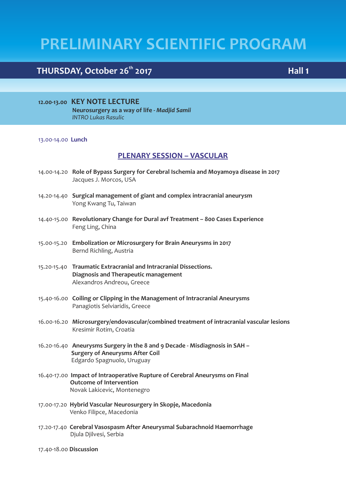# **THURSDAY, October 26<sup>th</sup> 2017**

**12.00-13.00 KEY NOTE LECTURE Neurosurgery as a way of life -** *Madjid Samii INTRO Lukas Rasulic*

### 13.00-14.00 **Lunch**

### **PLENARY SESSION – VASCULAR**

- 14.00-14.20 **Role of Bypass Surgery for Cerebral Ischemia and Moyamoya disease in 2017** Jacques J. Morcos, USA
- 14.20-14.40 **Surgical management of giant and complex intracranial aneurysm** Yong Kwang Tu, Taiwan
- 14.40-15.00 **Revolutionary Change for Dural avf Treatment 800 Cases Experience** Feng Ling, China
- 15.00-15.20 **Embolization or Microsurgery for Brain Aneurysms in 2017** Bernd Richling, Austria
- 15.20-15.40 **Traumatic Extracranial and Intracranial Dissections. Diagnosis and Therapeutic management** Alexandros Andreou, Greece
- 15.40-16.00 **Coiling or Clipping in the Management of Intracranial Aneurysms** Panagiotis Selviaridis, Greece
- 16.00-16.20 **Microsurgery/endovascular/combined treatment of intracranial vascular lesions** Kresimir Rotim, Croatia
- 16.20-16.40 **Aneurysms Surgery in the 8 and 9 Decade Misdiagnosis in SAH Surgery of Aneurysms After Coil** Edgardo Spagnuolo, Uruguay
- 16.40-17.00 **Impact of Intraoperative Rupture of Cerebral Aneurysms on Final Outcome of Intervention** Novak Lakicevic, Montenegro
- 17.00-17.20 **Hybrid Vascular Neurosurgery in Skopje, Macedonia** Venko Filipce, Macedonia
- 17.20-17.40 **Cerebral Vasospasm After Aneurysmal Subarachnoid Haemorrhage** Djula Djilvesi, Serbia

17.40-18.00 **Discussion**

### **Hall 1**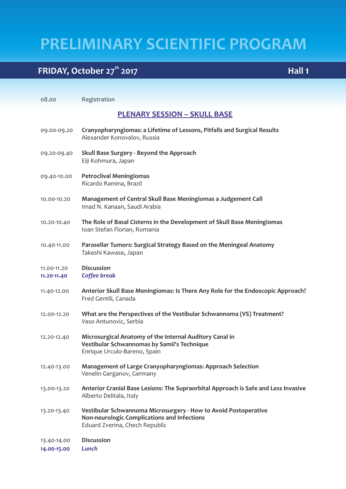**Hall 1**

# **FRIDAY, October 27<sup>th</sup> 2017**

| 08.00                      | Registration                                                                                                                                     |
|----------------------------|--------------------------------------------------------------------------------------------------------------------------------------------------|
|                            | <b>PLENARY SESSION - SKULL BASE</b>                                                                                                              |
| 09.00-09.20                | Cranyopharyngiomas: a Lifetime of Lessons, Pitfalls and Surgical Results<br>Alexander Konovalov, Russia                                          |
| 09.20-09.40                | Skull Base Surgery - Beyond the Approach<br>Eiji Kohmura, Japan                                                                                  |
| 09.40-10.00                | <b>Petroclival Meningiomas</b><br>Ricardo Ramina, Brazil                                                                                         |
| 10.00-10.20                | Management of Central Skull Base Meningiomas a Judgement Call<br>Imad N. Kanaan, Saudi Arabia                                                    |
| 10.20-10.40                | The Role of Basal Cisterns in the Development of Skull Base Meningiomas<br>Ioan Stefan Florian, Romania                                          |
| 10.40-11.00                | Parasellar Tumors: Surgical Strategy Based on the Meningeal Anatomy<br>Takeshi Kawase, Japan                                                     |
| 11.00-11.20<br>11.20-11.40 | <b>Discussion</b><br>Coffee break                                                                                                                |
| 11.40-12.00                | Anterior Skull Base Meningiomas: Is There Any Role for the Endoscopic Approach?<br>Fred Gentili, Canada                                          |
| 12.00-12.20                | What are the Perspectives of the Vestibular Schwannoma (VS) Treatment?<br>Vaso Antunovic, Serbia                                                 |
| 12.20-12.40                | Microsurgical Anatomy of the Internal Auditory Canal in<br>Vestibular Schwannomas by Samii's Technique<br>Enrique Urculo-Bareno, Spain           |
| 12.40-13.00                | <b>Management of Large Cranyopharyngiomas: Approach Selection</b><br>Venelin Gerganov, Germany                                                   |
| 13.00-13.20                | Anterior Cranial Base Lesions: The Supraorbital Approach is Safe and Less Invasive<br>Alberto Delitala, Italy                                    |
| 13.20-13.40                | Vestibular Schwannoma Microsurgery - How to Avoid Postoperative<br>Non-neurologic Complications and Infections<br>Eduard Zverina, Chech Republic |
| 13.40-14.00<br>14.00-15.00 | <b>Discussion</b><br>Lunch                                                                                                                       |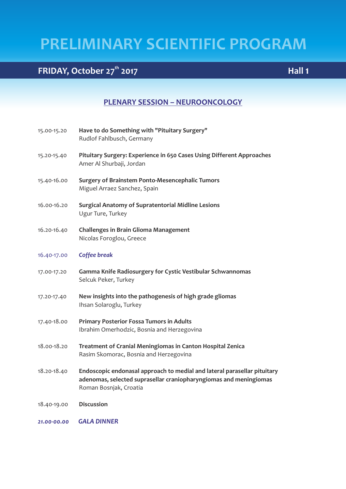# **the FRIDAY, October 27<sup>th</sup> 2017 Hall 1 Hall 1**

### **PLENARY SESSION – NEUROONCOLOGY**

| 15.00-15.20 | Have to do Something with "Pituitary Surgery" |
|-------------|-----------------------------------------------|
|             | Rudlof Fahlbusch, Germany                     |

- 15.20-15.40 **Pituitary Surgery: Experience in 650 Cases Using Different Approaches** Amer Al Shurbaji, Jordan
- 15.40-16.00 **Surgery of Brainstem Ponto-Mesencephalic Tumors** Miguel Arraez Sanchez, Spain
- 16.00-16.20 **Surgical Anatomy of Supratentorial Midline Lesions** Ugur Ture, Turkey
- 16.20-16.40 **Challenges in Brain Glioma Management** Nicolas Foroglou, Greece
- 16.40-17.00 *Coffee break*
- 17.00-17.20 **Gamma Knife Radiosurgery for Cystic Vestibular Schwannomas** Selcuk Peker, Turkey
- 17.20-17.40 **New insights into the pathogenesis of high grade gliomas** Ihsan Solaroglu, Turkey
- 17.40-18.00 **Primary Posterior Fossa Tumors in Adults** Ibrahim Omerhodzic, Bosnia and Herzegovina
- 18.00-18.20 **Treatment of Cranial Meningiomas in Canton Hospital Zenica** Rasim Skomorac, Bosnia and Herzegovina
- 18.20-18.40 **Endoscopic endonasal approach to medial and lateral parasellar pituitary adenomas, selected suprasellar craniopharyngiomas and meningiomas**  Roman Bosnjak, Croatia
- 18.40-19.00 **Discussion**

*21.00-00.00 GALA DINNER*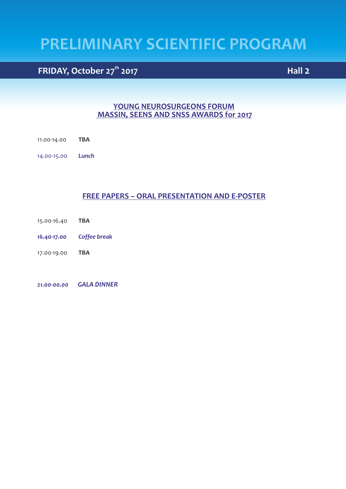# **the FRIDAY, October 27<sup>th</sup> 2017 Hall 2**

### **YOUNG NEUROSURGEONS FORUM MASSIN, SEENS AND SNSS AWARDS for 2017**

- 11.00-14.00 **TBA**
- 14.00-15.00 *Lunch*

### **FREE PAPERS – ORAL PRESENTATION AND E-POSTER**

- 15.00-16.40 **TBA**
- **16.40-17.00** *Coffee break*
- 17.00-19.00 **TBA**

*21.00-00.00 GALA DINNER*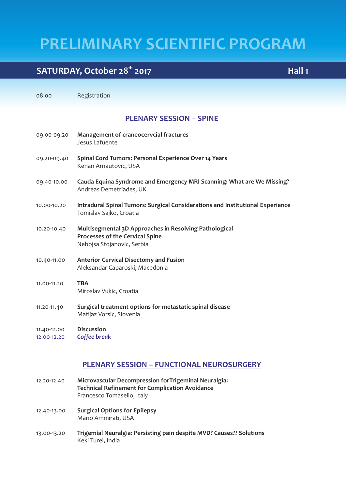# **the SATURDAY, October 28<sup>th</sup> 2017 Hall 1**

08.00 Registration

### **PLENARY SESSION – SPINE**

09.00-09.20 **Management of craneocervcial fractures** Jesus Lafuente 09.20-09.40 **Spinal Cord Tumors: Personal Experience Over 14 Years** Kenan Arnautovic, USA 09.40-10.00 **Cauda Equina Syndrome and Emergency MRI Scanning: What are We Missing?** Andreas Demetriades, UK 10.00-10.20 **Intradural Spinal Tumors: Surgical Considerations and Institutional Experience** Tomislav Sajko, Croatia 10.20-10.40 **Multisegmental 3D Approaches in Resolving Pathological Processes of the Cervical Spine** Nebojsa Stojanovic, Serbia 10.40-11.00 **Anterior Cervical Disectomy and Fusion** Aleksandar Caparoski, Macedonia 11.00-11.20 **TBA** Miroslav Vukic, Croatia 11.20-11.40 **Surgical treatment options for metastatic spinal disease** Matijaz Vorsic, Slovenia

11.40-12.00 **Discussion**  12.00-12.20 *Coffee break*

### **PLENARY SESSION – FUNCTIONAL NEUROSURGERY**

- 12.20-12.40 **Microvascular Decompression forTrigeminal Neuralgia: Technical Refinement for Complication Avoidance** Francesco Tomasello, Italy
- 12.40-13.00 **Surgical Options for Epilepsy** Mario Ammirati, USA
- 13.00-13.20 **Trigemial Neuralgia: Persisting pain despite MVD? Causes?? Solutions** Keki Turel, India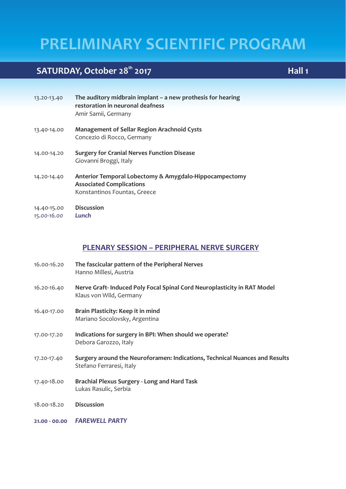# **the SATURDAY, October 28<sup>th</sup> 2017 Hall 1 Hall 1**

| 13.20-13.40                | The auditory midbrain implant $-$ a new prothesis for hearing<br>restoration in neuronal deafness<br>Amir Samii, Germany  |
|----------------------------|---------------------------------------------------------------------------------------------------------------------------|
| 13.40-14.00                | <b>Management of Sellar Region Arachnoid Cysts</b><br>Concezio di Rocco, Germany                                          |
| 14.00-14.20                | <b>Surgery for Cranial Nerves Function Disease</b><br>Giovanni Broggi, Italy                                              |
| 14.20-14.40                | Anterior Temporal Lobectomy & Amygdalo-Hippocampectomy<br><b>Associated Complications</b><br>Konstantinos Fountas, Greece |
| 14.40-15.00<br>15.00-16.00 | <b>Discussion</b><br>Lunch                                                                                                |

### **PLENARY SESSION – PERIPHERAL NERVE SURGERY**

- 16.00-16.20 **The fascicular pattern of the Peripheral Nerves** Hanno Millesi, Austria
- 16.20-16.40 **Nerve Graft- Induced Poly Focal Spinal Cord Neuroplasticity in RAT Model** Klaus von Wild, Germany
- 16.40-17.00 **Brain Plasticity: Keep it in mind** Mariano Socolovsky, Argentina
- 17.00-17.20 **Indications for surgery in BPI: When should we operate?** Debora Garozzo, Italy
- 17.20-17.40 **Surgery around the Neuroforamen: Indications, Technical Nuances and Results** Stefano Ferraresi, Italy
- 17.40-18.00 **Brachial Plexus Surgery Long and Hard Task** Lukas Rasulic, Serbia
- 18.00-18.20 **Discussion**
- **21.00 00.00** *FAREWELL PARTY*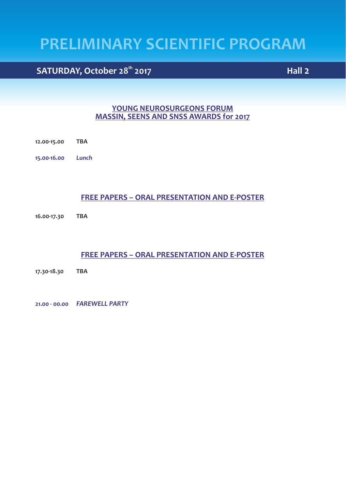**the SATURDAY, October 28<sup>th</sup> 2017 Hall 2 Hall 2** 

### **YOUNG NEUROSURGEONS FORUM MASSIN, SEENS AND SNSS AWARDS for 2017**

- **12.00-15.00 TBA**
- **15.00-16.00** *Lunch*

### **FREE PAPERS – ORAL PRESENTATION AND E-POSTER**

**16.00-17.30 TBA**

### **FREE PAPERS – ORAL PRESENTATION AND E-POSTER**

**17.30-18.30 TBA**

**21.00 - 00.00** *FAREWELL PARTY*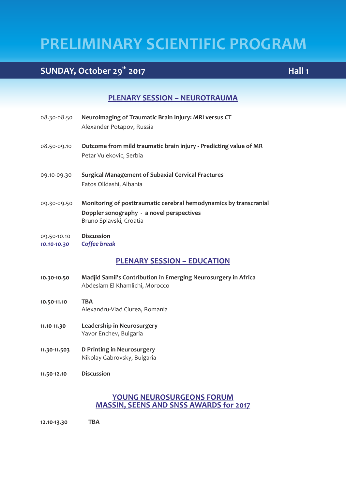# **the SUNDAY, October 29<sup>th</sup> 2017 <b>Hall 1 Hall 1**

### **PLENARY SESSION – NEUROTRAUMA**

- 08.30-08.50 **Neuroimaging of Traumatic Brain Injury: MRI versus CT** Alexander Potapov, Russia
- 08.50-09.10 **Outcome from mild traumatic brain injury Predicting value of MR** Petar Vulekovic, Serbia
- 09.10-09.30 **Surgical Management of Subaxial Cervical Fractures** Fatos Olldashi, Albania
- 09.30-09.50 **Monitoring of posttraumatic cerebral hemodynamics by transcranial Doppler sonography - a novel perspectives** Bruno Splavski, Croatia
- 09.50-10.10 **Discussion**
- *10.10-10.30 Coffee break*

**PLENARY SESSION – EDUCATION**

- **10.30-10.50 Madjid Samii's Contribution in Emerging Neurosurgery in Africa** Abdeslam El Khamlichi, Morocco
- **10.50-11.10 TBA** Alexandru-Vlad Ciurea, Romania
- **11.10-11.30 Leadership in Neurosurgery** Yavor Enchev, Bulgaria
- **11.30-11.503 D Printing in Neurosurgery** Nikolay Gabrovsky, Bulgaria
- **11.50-12.10 Discussion**

### **YOUNG NEUROSURGEONS FORUM MASSIN, SEENS AND SNSS AWARDS for 2017**

**12.10-13.30 TBA**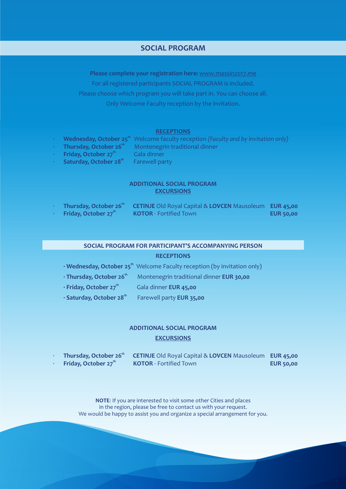### **SOCIAL PROGRAM**

**Please complete your registration here:** www.massin2017.me For all registered participants SOCIAL PROGRAM is included. Please choose which program you will take part in. You can choose all. Only Welcome Faculty reception by the invitation.

#### **RECEPTIONS**

- **Wednesday, October 25<sup>th</sup> Welcome faculty reception** *(Faculty and by invitation only)* 
	- Thursday, October 26<sup>t</sup> Montenegrin traditional dinner
- **Friday, October 27<sup>th</sup> Gala dinner**
- **· Saturday, October 28<sup>th</sup> Farewell party**

### **ADDITIONAL SOCIAL PROGRAM EXCURSIONS**

| Thursday, October 26th           | <b>CETINJE</b> Old Royal Capital & LOVCEN Mausoleum EUR 45,00 |                  |
|----------------------------------|---------------------------------------------------------------|------------------|
| Friday, October 27 <sup>th</sup> | <b>KOTOR</b> - Fortified Town                                 | <b>EUR 50,00</b> |

### **SOCIAL PROGRAM FOR PARTICIPANT'S ACCOMPANYING PERSON**

### **RECEPTIONS**

- **· Wednesday, October 25<sup>th</sup>** Welcome Faculty reception (by invitation only) **thursday, October 26<sup>th</sup> Montenegrin traditional dinner EUR 30.00**
- **thereform Friday, October 27<sup>th</sup> Gala dinner <b>EUR 45,00**
- *t***Saturday, October 28<sup>th</sup> Farewell party EUR 35,00**

### **ADDITIONAL SOCIAL PROGRAM EXCURSIONS**

| Thursday, October 26"            | CETINJE Old Royal Capital & LOVCEN Mausoleum EUR 45,00 |                  |
|----------------------------------|--------------------------------------------------------|------------------|
| Friday, October 27 <sup>th</sup> | <b>KOTOR</b> - Fortified Town                          | <b>EUR 50,00</b> |

**NOTE**: If you are interested to visit some other Cities and places in the region, please be free to contact us with your request. We would be happy to assist you and organize a special arrangement for you.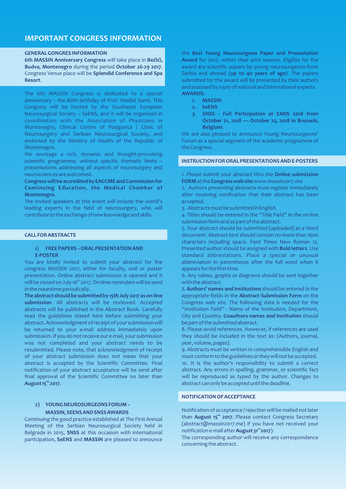### **IMPORTANT CONGRESS INFORMATION**

#### **GENERAL GONGRES INFORMATION**

**6th MASSIN Anniversary Congress** will take place in **Bečići, Budva, Montenegro** during the period **October 26-29 2017**. Congress Venue place will be **Splendid Conference and Spa Resort**.

The 6th MASSIN Congress is dedicated to a special anniversary – the 80th birthday of Prof. Madjid Samii. This Congress will be hosted by the Southeast European Neurosurgical Society – SeENS, and it will be organized in coordination with the Association of Physicians in Montenegro, Clinical Centre of Podgorica / Clinic of Neurosurgery and Serbian Neurosurgical Society, and endorsed by the Ministry of Health of the Republic of Montenegro.

We envisage a rich, dynamic and thought-provoking scientific programme, without specific thematic limits – presentations addressing all aspects of neurosurgery and neurosciences are welcomed.

### **Congress will be accredited by EACCME and Commission for Continuing Education, the Medical Chamber of Montenegro**.

The invited speakers at this event will include the world's leading experts in the field of neurosurgery, who will contribute to the exchange of new knowledge and skills.

#### **CALL FOR ABSTRACTS**

#### **1) FREE PAPERS – ORAL PRESENTATION AND E-POSTER**

You are kindly invited to submit your abstract for the congress MASSIN 2017, either for faculty, oral or poster presentation. Online abstract submission is opened and it will be closed on July 16<sup>th</sup> 2017. On time reminders will be send in the meantime periodically.

**The abstract should be submitted by 15th July 2017 as on-line submission**. All abstracts will be reviewed. Accepted abstracts will be published in the Abstract Book. Carefully read the guidelines stated here before submitting your abstract. Acknowledgment of receipt of your submission will be returned to your e-mail address immediately upon submission. If you do not receive our e-mail, your submission was not completed and your abstract needs to be resubmitted. Please note, that acknowledgment of receipt of your abstract submission does not mean that your abstract is accepted by the Scientific Committee. Final notification of your abstract acceptance will be send after final approval of the Scientific Committee no later than **th August 15 2017**.

### **2) YOUNG NEUROSURGEONS FORUM – MASSIN, SEENS AND SNSS AWARDS**

Continuing the good practice established at The First Annual Meeting of the Serbian Neurosurgical Society held in Belgrade in 2015, **SNSS** at this occasion with international participation, **SeENS** and **MASSIN** are pleased to announce the **Best Young Neurosurgeon Paper and Presentation Award** for 2017, within their joint session. Eligible for the award are scientific papers by young neurosurgeons from Serbia and abroad (**up to 40 years of age**). The papers submitted for the award will be presented by their authors and assessed by a jury of national and international experts. **AWARDS:**

- **1. MASSIN**
- **2. SeENS**
- **3. SNSS Full Participation at EANS 2018 from October 21, 2018 — October 25, 2018 in Brussels, Belgium.**

We are also pleased to announce Young Neurosurgeons' Forum as a special segment of the academic programme of the Congress.

### **INSTRUCTION FOR ORAL PRESENTATIONS AND E-POSTERS**

### 1. Please submit your abstract thru the **Online submission FORM**at the **Congress web site**www.massin2017.me

2. Authors presenting abstracts must register immediately after receiving notification that their abstract has been accepted.

3. Abstracts must be submitted in English.

4. Titles should be entered in the "Title Field" in the on-line submission form and as part of the abstract.

5. Your abstract should be submitted (uploaded) as a Word document. Abstract text should contain no more than 1600 characters including space. Font Times New Roman 12. Presented author should be assigned with **Bold letters**. Use standard abbreviations. Place a special or unusual abbreviation in parentheses after the full word when it appears for the first time.

6. Any tables, graphs or diagrams should be sent together with the abstract.

**7. Authors' names and institutions** should be entered in the appropriate fields in the **Abstract Submission Form** on the Congress web site. The following data is needed for the "Institution Field" - Name of the Institution, Department, City and Country. **Coauthors names and Institution** should be part of the submitted abstract.

8. Please avoid references. However, if references are used they should be included in the text as: (Authors, journal, year, volume, pages).

9. Abstracts must be written in comprehensible English and must conform to the guidelines or they will not be accepted. 10. It is the author's responsibility to submit a correct abstract. Any errors in spelling, grammar, or scientific fact will be reproduced as typed by the author. Changes to abstract can only be accepted until the deadline.

#### **NOTIFICATION OF ACCEPTANCE**

Notification of acceptance / rejection will be mailed not later than **August 15<sup>th</sup> 2017.** Please contact Congress Secretary (abstract@massin2017.me) if you have not received your **st** notification e-mail after **August 31 2017**).

The corresponding author will receive any correspondence concerning the abstract.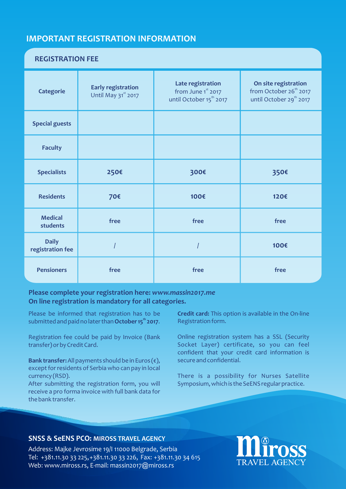### **IMPORTANT REGISTRATION INFORMATION**

### **REGISTRATION FEE**

| <b>Categorie</b>                 | <b>Early registration</b><br>Until May 31st 2017 | Late registration<br>from June 1st 2017<br>until October 15 <sup>th</sup> 2017 | On site registration<br>from October 26 <sup>th</sup> 2017<br>until October 29 <sup>th</sup> 2017 |
|----------------------------------|--------------------------------------------------|--------------------------------------------------------------------------------|---------------------------------------------------------------------------------------------------|
| <b>Special guests</b>            |                                                  |                                                                                |                                                                                                   |
| <b>Faculty</b>                   |                                                  |                                                                                |                                                                                                   |
| <b>Specialists</b>               | 250€                                             | 300€                                                                           | 350€                                                                                              |
| <b>Residents</b>                 | 70€                                              | 100€                                                                           | 120€                                                                                              |
| <b>Medical</b><br>students       | free                                             | free                                                                           | free                                                                                              |
| <b>Daily</b><br>registration fee |                                                  |                                                                                | 100€                                                                                              |
| <b>Pensioners</b>                | free                                             | free                                                                           | free                                                                                              |

### **Please complete your registration here:** *www.massin2017.me* **On line registration is mandatory for all categories.**

Please be informed that registration has to be **th** submitted and paid no later than **October 15 2017**.

Registration fee could be paid by Invoice (Bank transfer) or by Credit Card.

**Bank transfer:**All payments should be in Euros (€), except for residents of Serbia who can pay in local currency (RSD).

After submitting the registration form, you will receive a pro forma invoice with full bank data for the bank transfer.

**Credit card:** This option is available in the On-line Registration form.

Online registration system has a SSL (Security Socket Layer) certificate, so you can feel confident that your credit card information is secure and confidential.

There is a possibility for Nurses Satellite Symposium, which is the SeENS regular practice.

### **SNSS & SeENS PCO: MIROSS TRAVEL AGENCY**

Address: Majke Jevrosime 19/I 11000 Belgrade, Serbia Tel: +381.11.30 33 225, +381.11.30 33 226, Fax: +381.11.30 34 615 Web: www.miross.rs, E-mail: massin2017@miross.rs

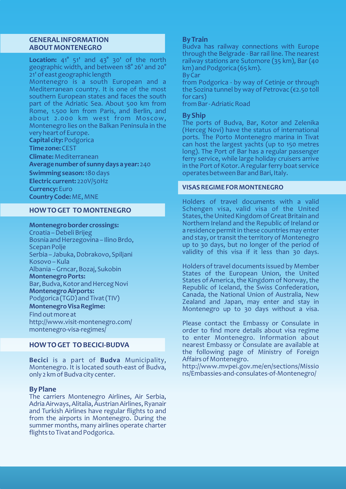### **GENERAL INFORMATION ABOUT MONTENEGRO**

**Location:** 41° 51' and 43° 30' of the north geographic width, and between 18° 26' and 20° 21' of east geographic length

Montenegro is a south European and a Mediterranean country. It is one of the most southern European states and faces the south part of the Adriatic Sea. About 500 km from Rome, 1.500 km from Paris, and Berlin, and about 2.000 km west from Moscow, Montenegro lies on the Balkan Peninsula in the very heart of Europe.

**Capital city:** Podgorica

**Time zone:**CEST

**Climate:**Mediterranean

**Average number of sunny days a year:** 240

**Swimming season:**180 days

**Electric current:** 220V/50Hz

**Currency:** Euro

**Country Code:** ME, MNE

### **HOW TO GET TO MONTENEGRO**

**Montenegro border crossings:**

Croatia – Debeli Brijeg Bosnia and Herzegovina – Ilino Brdo, Scepan Polje Serbia – Jabuka, Dobrakovo, Spiljani Kosovo – Kula Albania – Grncar, Bozaj, Sukobin **Montenegro Ports:** Bar, Budva, Kotor and Herceg Novi **Montenegro Airports:**

Podgorica (TGD) and Tivat (TIV)

**Montenegro Visa Regime:**

Find out more at http://www.visit-montenegro.com/ montenegro-visa-regimes/

### **HOW TO GET TO BECICI-BUDVA**

**Becici** is a part of **Budva** Municipality, Montenegro. It is located south-east of Budva, only 2 km of Budva city center.

### **By Plane**

The carriers Montenegro Airlines, Air Serbia, Adria Airways, Alitalia, Austrian Airlines, Ryanair and Turkish Airlines have regular flights to and from the airports in Montenegro. During the summer months, many airlines operate charter flights to Tivat and Podgorica.

### **By Train**

Budva has railway connections with Europe through the Belgrade - Bar rail line. The nearest railway stations are Sutomore (35 km), Bar (40 km) and Podgorica (65 km).

By Car

from Podgorica - by way of Cetinje or through the Sozina tunnel by way of Petrovac (€2.50 toll for cars)

from Bar - Adriatic Road

### **By Ship**

The ports of Budva, Bar, Kotor and Zelenika (Herceg Novi) have the status of international ports. The Porto Montenegro marina in Tivat can host the largest yachts (up to 150 metres long). The Port of Bar has a regular passenger ferry service, while large holiday cruisers arrive in the Port of Kotor. A regular ferry boat service operates between Bar and Bari, Italy.

### **VISAS REGIME FOR MONTENEGRO**

Holders of travel documents with a valid Schengen visa, valid visa of the United States, the United Kingdom of Great Britain and Northern Ireland and the Republic of Ireland or a residence permit in these countries may enter and stay, or transit the territory of Montenegro up to 30 days, but no longer of the period of validity of this visa if it less than 30 days.

Holders of travel documents issued by Member States of the European Union, the United States of America, the Kingdom of Norway, the Republic of Iceland, the Swiss Confederation, Canada, the National Union of Australia, New Zealand and Japan, may enter and stay in Montenegro up to 30 days without a visa.

Please contact the Embassy or Consulate in order to find more details about visa regime to enter Montenegro. Information about nearest Embassy or Consulate are available at the following page of Ministry of Foreign Affairs of Montenegro.

http://www.mvpei.gov.me/en/sections/Missio ns/Embassies-and-consulates-of-Montenegro/